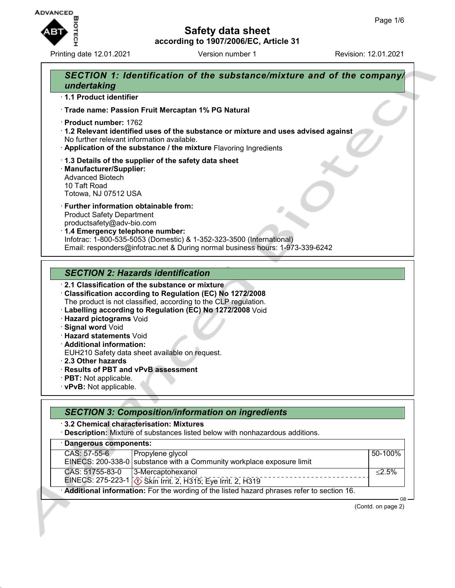

Printing date 12.01.2021 **Version number 1** Revision: 12.01.2021



- · **Additional information:**
- EUH210 Safety data sheet available on request.
- · **2.3 Other hazards**
- · **Results of PBT and vPvB assessment**
- · **PBT:** Not applicable.
- · **vPvB:** Not applicable.

| <b>SECTION 3: Composition/information on ingredients</b> |                                                                                                                         |           |  |  |
|----------------------------------------------------------|-------------------------------------------------------------------------------------------------------------------------|-----------|--|--|
|                                                          | 3.2 Chemical characterisation: Mixtures<br>Description: Mixture of substances listed below with nonhazardous additions. |           |  |  |
| · Dangerous components:                                  |                                                                                                                         |           |  |  |
| CAS: 57-55-6                                             | Propylene glycol<br>EINECS: 200-338-0 substance with a Community workplace exposure limit                               | 50-100%   |  |  |
| CAS: 51755-83-0                                          | 3-Mercaptohexanol<br>EINECS: 275-223-1 \. Skin Irrit. 2, H315; Eye Irrit. 2, H319                                       | $< 2.5\%$ |  |  |
|                                                          | Additional information: For the wording of the listed hazard phrases refer to section 16.                               |           |  |  |

(Contd. on page 2)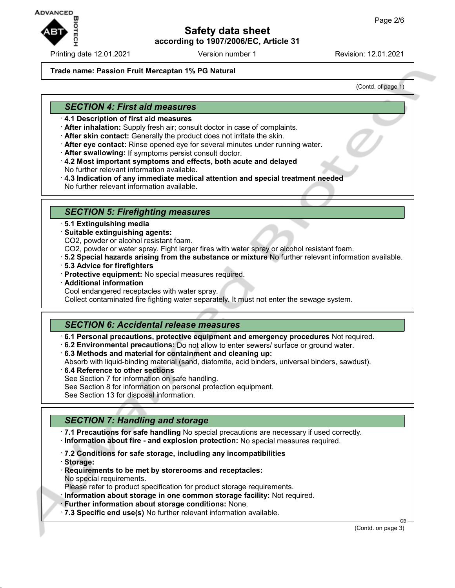

Printing date 12.01.2021 Version number 1 Revision: 12.01.2021

#### **Trade name: Passion Fruit Mercaptan 1% PG Natural**

(Contd. of page 1)

## *SECTION 4: First aid measures*

- · **4.1 Description of first aid measures**
- · **After inhalation:** Supply fresh air; consult doctor in case of complaints.
- · **After skin contact:** Generally the product does not irritate the skin.
- · **After eye contact:** Rinse opened eye for several minutes under running water.
- · **After swallowing:** If symptoms persist consult doctor.
- · **4.2 Most important symptoms and effects, both acute and delayed** No further relevant information available.
- · **4.3 Indication of any immediate medical attention and special treatment needed** No further relevant information available.

### *SECTION 5: Firefighting measures*

- · **5.1 Extinguishing media**
- · **Suitable extinguishing agents:**
- CO2, powder or alcohol resistant foam.
- CO2, powder or water spray. Fight larger fires with water spray or alcohol resistant foam.
- · **5.2 Special hazards arising from the substance or mixture** No further relevant information available.
- · **5.3 Advice for firefighters**
- · **Protective equipment:** No special measures required.
- · **Additional information**
- Cool endangered receptacles with water spray.

Collect contaminated fire fighting water separately. It must not enter the sewage system.

### *SECTION 6: Accidental release measures*

- · **6.1 Personal precautions, protective equipment and emergency procedures** Not required.
- · **6.2 Environmental precautions:** Do not allow to enter sewers/ surface or ground water.
- · **6.3 Methods and material for containment and cleaning up:**
- Absorb with liquid-binding material (sand, diatomite, acid binders, universal binders, sawdust).
- · **6.4 Reference to other sections** See Section 7 for information on safe handling. See Section 8 for information on personal protection equipment.
- See Section 13 for disposal information.

# *SECTION 7: Handling and storage*

· **7.1 Precautions for safe handling** No special precautions are necessary if used correctly. · **Information about fire - and explosion protection:** No special measures required.

- · **7.2 Conditions for safe storage, including any incompatibilities**
- · **Storage:**
- · **Requirements to be met by storerooms and receptacles:** No special requirements.

Please refer to product specification for product storage requirements.

· **Information about storage in one common storage facility:** Not required.

- · **Further information about storage conditions:** None.
- · **7.3 Specific end use(s)** No further relevant information available.

(Contd. on page 3)

GB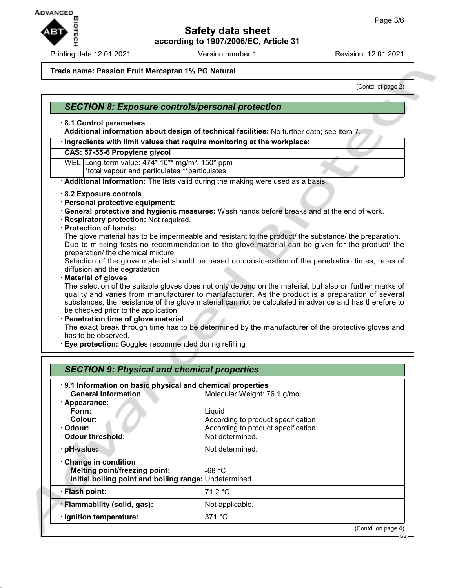

Printing date 12.01.2021 Version number 1 Revision: 12.01.2021

#### **Trade name: Passion Fruit Mercaptan 1% PG Natural**

(Contd. of page 2)

### *SECTION 8: Exposure controls/personal protection*

#### · **8.1 Control parameters**

· **Additional information about design of technical facilities:** No further data; see item 7.

#### · **Ingredients with limit values that require monitoring at the workplace:**

#### **CAS: 57-55-6 Propylene glycol**

WEL Long-term value: 474\* 10\*\* mg/m<sup>3</sup>, 150\* ppm \*total vapour and particulates \*\*particulates

· **Additional information:** The lists valid during the making were used as a basis.

- · **8.2 Exposure controls**
- · **Personal protective equipment:**
- · **General protective and hygienic measures:** Wash hands before breaks and at the end of work.
- · **Respiratory protection:** Not required.
- · **Protection of hands:**

The glove material has to be impermeable and resistant to the product/ the substance/ the preparation. Due to missing tests no recommendation to the glove material can be given for the product/ the preparation/ the chemical mixture.

Selection of the glove material should be based on consideration of the penetration times, rates of diffusion and the degradation

· **Material of gloves**

The selection of the suitable gloves does not only depend on the material, but also on further marks of quality and varies from manufacturer to manufacturer. As the product is a preparation of several substances, the resistance of the glove material can not be calculated in advance and has therefore to be checked prior to the application.

#### **Penetration time of glove material**

The exact break through time has to be determined by the manufacturer of the protective gloves and has to be observed.

· **Eye protection:** Goggles recommended during refilling

| 9.1 Information on basic physical and chemical properties |                                    |  |
|-----------------------------------------------------------|------------------------------------|--|
| <b>General Information</b>                                | Molecular Weight: 76.1 g/mol       |  |
| $\cdot$ Appearance:                                       |                                    |  |
| Form:                                                     | Liquid                             |  |
| Colour:                                                   | According to product specification |  |
| · Odour:                                                  | According to product specification |  |
| <b>Odour threshold:</b>                                   | Not determined.                    |  |
| · pH-value:                                               | Not determined.                    |  |
| Change in condition                                       |                                    |  |
| Melting point/freezing point:                             | $-68 °C$                           |  |
| Initial boiling point and boiling range: Undetermined.    |                                    |  |
| · Flash point:                                            | 71.2 °C                            |  |
| · Flammability (solid, gas):                              | Not applicable.                    |  |
| · Ignition temperature:                                   | 371 °C                             |  |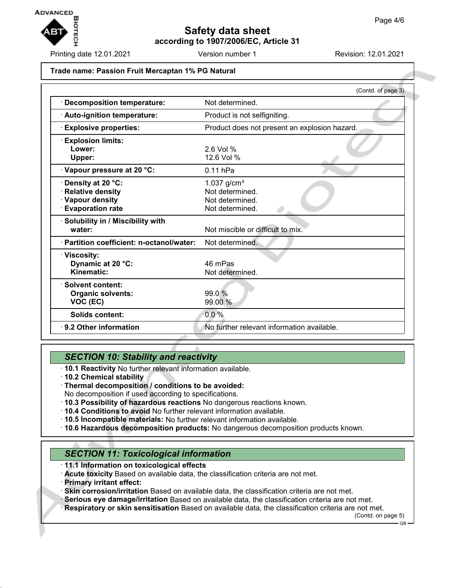

Printing date 12.01.2021 **Version number 1** Revision: 12.01.2021

#### **Trade name: Passion Fruit Mercaptan 1% PG Natural**

|                                                                                               | (Contd. of page 3)                                                        |
|-----------------------------------------------------------------------------------------------|---------------------------------------------------------------------------|
| <b>Decomposition temperature:</b>                                                             | Not determined.                                                           |
| · Auto-ignition temperature:                                                                  | Product is not selfigniting.                                              |
| <b>Explosive properties:</b>                                                                  | Product does not present an explosion hazard.                             |
| <b>Explosion limits:</b>                                                                      |                                                                           |
| Lower:<br>Upper:                                                                              | $2.6$ Vol %<br>12.6 Vol %                                                 |
| Vapour pressure at 20 °C:                                                                     | $0.11$ hPa                                                                |
| · Density at 20 °C:<br><b>Relative density</b><br>· Vapour density<br><b>Evaporation rate</b> | 1.037 $g/cm^{3}$<br>Not determined.<br>Not determined.<br>Not determined. |
| Solubility in / Miscibility with<br>water:                                                    | Not miscible or difficult to mix.                                         |
| · Partition coefficient: n-octanol/water:                                                     | Not determined.                                                           |
| · Viscosity:<br>Dynamic at 20 °C:<br>Kinematic:                                               | 46 mPas<br>Not determined.                                                |
| · Solvent content:<br><b>Organic solvents:</b><br>VOC (EC)                                    | 99.0 %<br>99.00 %                                                         |
| Solids content:                                                                               | 0.0%                                                                      |
| ⋅ 9.2 Other information                                                                       | No further relevant information available.                                |

## *SECTION 10: Stability and reactivity*

- · **10.1 Reactivity** No further relevant information available.
- · **10.2 Chemical stability**
- · **Thermal decomposition / conditions to be avoided:**
- No decomposition if used according to specifications.
- · **10.3 Possibility of hazardous reactions** No dangerous reactions known.
- · **10.4 Conditions to avoid** No further relevant information available.
- · **10.5 Incompatible materials:** No further relevant information available.
- · **10.6 Hazardous decomposition products:** No dangerous decomposition products known.

# *SECTION 11: Toxicological information*

- · **11.1 Information on toxicological effects**
- · **Acute toxicity** Based on available data, the classification criteria are not met.
- · **Primary irritant effect:**
- · **Skin corrosion/irritation** Based on available data, the classification criteria are not met.
- · **Serious eye damage/irritation** Based on available data, the classification criteria are not met.
- · **Respiratory or skin sensitisation** Based on available data, the classification criteria are not met.

(Contd. on page 5)

GB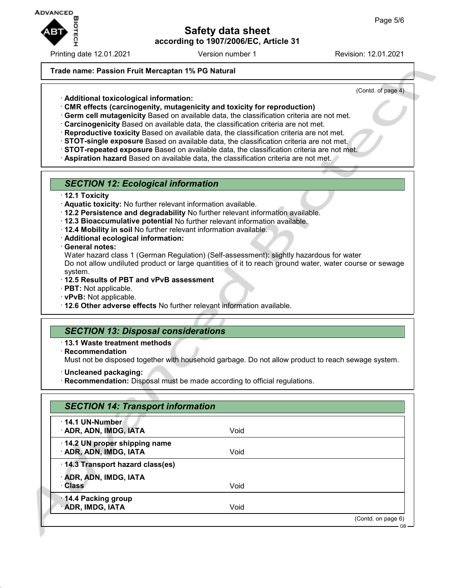

Printing date 12.01.2021 **Version number 1** Revision: 12.01.2021

## **Trade name: Passion Fruit Mercaptan 1% PG Natural**

(Contd. of page 4)

- · **Additional toxicological information:**
- · **CMR effects (carcinogenity, mutagenicity and toxicity for reproduction)**
- · **Germ cell mutagenicity** Based on available data, the classification criteria are not met.
- · **Carcinogenicity** Based on available data, the classification criteria are not met.
- · **Reproductive toxicity** Based on available data, the classification criteria are not met.
- · **STOT-single exposure** Based on available data, the classification criteria are not met.
- · **STOT-repeated exposure** Based on available data, the classification criteria are not met.
- · **Aspiration hazard** Based on available data, the classification criteria are not met.

### *SECTION 12: Ecological information*

#### · **12.1 Toxicity**

- · **Aquatic toxicity:** No further relevant information available.
- · **12.2 Persistence and degradability** No further relevant information available.
- · **12.3 Bioaccumulative potential** No further relevant information available.
- · **12.4 Mobility in soil** No further relevant information available.
- · **Additional ecological information:**
- · **General notes:**

Water hazard class 1 (German Regulation) (Self-assessment): slightly hazardous for water Do not allow undiluted product or large quantities of it to reach ground water, water course or sewage system.

- · **12.5 Results of PBT and vPvB assessment**
- · **PBT:** Not applicable.
- · **vPvB:** Not applicable.
- · **12.6 Other adverse effects** No further relevant information available.

## *SECTION 13: Disposal considerations*

- · **13.1 Waste treatment methods**
- · **Recommendation**

Must not be disposed together with household garbage. Do not allow product to reach sewage system.

- · **Uncleaned packaging:**
- · **Recommendation:** Disposal must be made according to official regulations.

| $\cdot$ 14.1 UN-Number            |      |  |
|-----------------------------------|------|--|
| · ADR, ADN, IMDG, IATA            | Void |  |
| 14.2 UN proper shipping name      |      |  |
| · ADR, ADN, IMDG, IATA            | Void |  |
| · 14.3 Transport hazard class(es) |      |  |
| · ADR, ADN, IMDG, IATA            |      |  |
| · Class                           | Void |  |
| 14.4 Packing group                |      |  |
| · ADR, IMDG, IATA                 | Void |  |